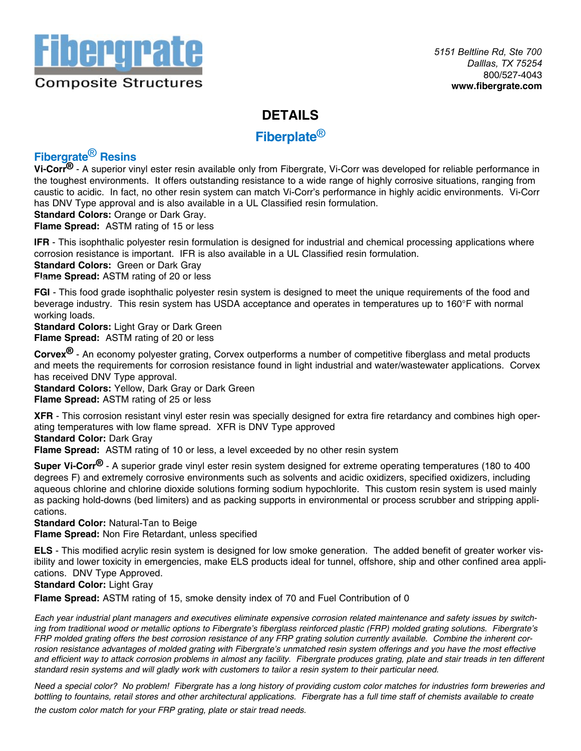

### **DETAILS**

**Fiberplate**®

# **Fibergrate**® **Resins**

**Vi-Corr®** - A superior vinyl ester resin available only from Fibergrate, Vi-Corr was developed for reliable performance in the toughest environments. It offers outstanding resistance to a wide range of highly corrosive situations, ranging from caustic to acidic. In fact, no other resin system can match Vi-Corr's performance in highly acidic environments. Vi-Corr has DNV Type approval and is also available in a UL Classified resin formulation.

**Standard Colors:** Orange or Dark Gray.

**Flame Spread:** ASTM rating of 15 or less

**IFR** - This isophthalic polyester resin formulation is designed for industrial and chemical processing applications where corrosion resistance is important. IFR is also available in a UL Classified resin formulation.

**Standard Colors:** Green or Dark Gray

**Flame Spread:** ASTM rating of 20 or less

**FGI** - This food grade isophthalic polyester resin system is designed to meet the unique requirements of the food and beverage industry. This resin system has USDA acceptance and operates in temperatures up to 160°F with normal working loads.

**Standard Colors:** Light Gray or Dark Green **Flame Spread:** ASTM rating of 20 or less

**Corvex®** - An economy polyester grating, Corvex outperforms a number of competitive fiberglass and metal products and meets the requirements for corrosion resistance found in light industrial and water/wastewater applications. Corvex has received DNV Type approval.

**Standard Colors:** Yellow, Dark Gray or Dark Green **Flame Spread:** ASTM rating of 25 or less

**XFR** - This corrosion resistant vinyl ester resin was specially designed for extra fire retardancy and combines high operating temperatures with low flame spread. XFR is DNV Type approved **Standard Color:** Dark Gray

**Flame Spread:** ASTM rating of 10 or less, a level exceeded by no other resin system

**Super Vi-Corr®** - A superior grade vinyl ester resin system designed for extreme operating temperatures (180 to 400 degrees F) and extremely corrosive environments such as solvents and acidic oxidizers, specified oxidizers, including aqueous chlorine and chlorine dioxide solutions forming sodium hypochlorite. This custom resin system is used mainly as packing hold-downs (bed limiters) and as packing supports in environmental or process scrubber and stripping applications.

**Standard Color:** Natural-Tan to Beige **Flame Spread:** Non Fire Retardant, unless specified

**ELS** - This modified acrylic resin system is designed for low smoke generation. The added benefit of greater worker visibility and lower toxicity in emergencies, make ELS products ideal for tunnel, offshore, ship and other confined area applications. DNV Type Approved.

#### **Standard Color:** Light Gray

**Flame Spread:** ASTM rating of 15, smoke density index of 70 and Fuel Contribution of 0

*Each year industrial plant managers and executives eliminate expensive corrosion related maintenance and safety issues by switching from traditional wood or metallic options to Fibergrate's fiberglass reinforced plastic (FRP) molded grating solutions. Fibergrate's FRP molded grating offers the best corrosion resistance of any FRP grating solution currently available. Combine the inherent cor*rosion resistance advantages of molded grating with Fibergrate's unmatched resin system offerings and you have the most effective *and efficient way to attack corrosion problems in almost any facility. Fibergrate produces grating, plate and stair treads in ten different standard resin systems and will gladly work with customers to tailor a resin system to their particular need.* 

*Need a special color? No problem! Fibergrate has a long history of providing custom color matches for industries form breweries and bottling to fountains, retail stores and other architectural applications. Fibergrate has a full time staff of chemists available to create* 

*the custom color match for your FRP grating, plate or stair tread needs.*